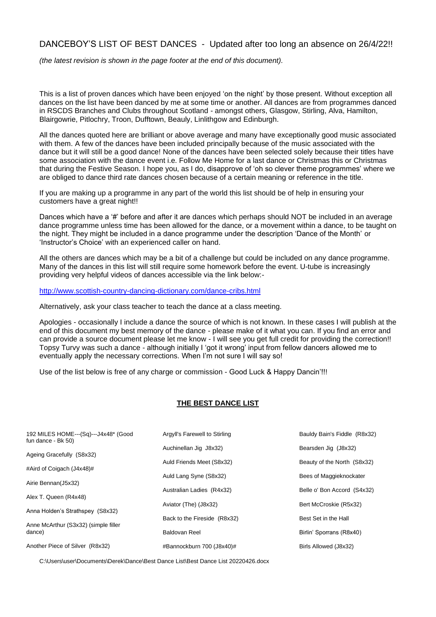## DANCEBOY'S LIST OF BEST DANCES - Updated after too long an absence on 26/4/22!!

*(the latest revision is shown in the page footer at the end of this document).*

This is a list of proven dances which have been enjoyed 'on the night' by those present. Without exception all dances on the list have been danced by me at some time or another. All dances are from programmes danced in RSCDS Branches and Clubs throughout Scotland - amongst others, Glasgow, Stirling, Alva, Hamilton, Blairgowrie, Pitlochry, Troon, Dufftown, Beauly, Linlithgow and Edinburgh.

All the dances quoted here are brilliant or above average and many have exceptionally good music associated with them. A few of the dances have been included principally because of the music associated with the dance but it will still be a good dance! None of the dances have been selected solely because their titles have some association with the dance event i.e. Follow Me Home for a last dance or Christmas this or Christmas that during the Festive Season. I hope you, as I do, disapprove of 'oh so clever theme programmes' where we are obliged to dance third rate dances chosen because of a certain meaning or reference in the title.

If you are making up a programme in any part of the world this list should be of help in ensuring your customers have a great night!!

Dances which have a '#' before and after it are dances which perhaps should NOT be included in an average dance programme unless time has been allowed for the dance, or a movement within a dance, to be taught on the night. They might be included in a dance programme under the description 'Dance of the Month' or 'Instructor's Choice' with an experienced caller on hand.

All the others are dances which may be a bit of a challenge but could be included on any dance programme. Many of the dances in this list will still require some homework before the event. U-tube is increasingly providing very helpful videos of dances accessible via the link below:-

<http://www.scottish-country-dancing-dictionary.com/dance-cribs.html>

Alternatively, ask your class teacher to teach the dance at a class meeting.

Apologies - occasionally I include a dance the source of which is not known. In these cases I will publish at the end of this document my best memory of the dance - please make of it what you can. If you find an error and can provide a source document please let me know - I will see you get full credit for providing the correction!! Topsy Turvy was such a dance - although initially I 'got it wrong' input from fellow dancers allowed me to eventually apply the necessary corrections. When I'm not sure I will say so!

Use of the list below is free of any charge or commission - Good Luck & Happy Dancin'!!!

## **THE BEST DANCE LIST**

| 192 MILES HOME--- (Sq)--- J4x48* (Good<br>fun dance - Bk 50) | Argyll's Farewell to Stirling | Bauldy Bain's Fiddle (R8x32) |
|--------------------------------------------------------------|-------------------------------|------------------------------|
| Ageing Gracefully (S8x32)                                    | Auchinellan Jig J8x32)        | Bearsden Jig (J8x32)         |
| #Aird of Coigach (J4x48)#                                    | Auld Friends Meet (S8x32)     | Beauty of the North (S8x32)  |
|                                                              | Auld Lang Syne (S8x32)        | Bees of Maggieknockater      |
| Airie Bennan(J5x32)                                          | Australian Ladies (R4x32)     | Belle o' Bon Accord (S4x32)  |
| Alex T. Queen (R4x48)                                        | Aviator (The) (J8x32)         | Bert McCroskie (R5x32)       |
| Anna Holden's Strathspey (S8x32)                             | Back to the Fireside (R8x32)  | Best Set in the Hall         |
| Anne McArthur (S3x32) (simple filler<br>dance)               | Baldovan Reel                 | Birlin' Sporrans (R8x40)     |
| Another Piece of Silver (R8x32)                              | #Bannockburn 700 (J8x40)#     | Birls Allowed (J8x32)        |

C:\Users\user\Documents\Derek\Dance\Best Dance List\Best Dance List 20220426.docx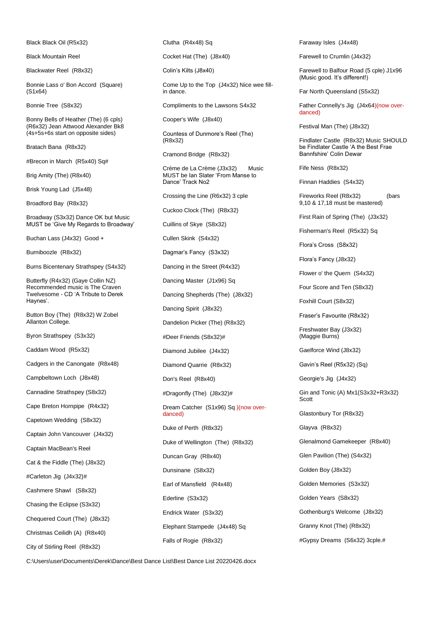Black Black Oil (R5x32)

Black Mountain Reel

Blackwater Reel (R8x32)

Bonnie Lass o' Bon Accord (Square) (S1x64)

Bonnie Tree (S8x32)

Bonny Bells of Heather (The) (6 cpls) (R6x32) Jean Attwood Alexander Bk8 (4s+5s+6s start on opposite sides)

Bratach Bana (R8x32)

#Brecon in March (R5x40) Sq#

Brig Amity (The) (R8x40)

Brisk Young Lad (J5x48)

Broadford Bay (R8x32)

Broadway (S3x32) Dance OK but Music MUST be 'Give My Regards to Broadway'

Buchan Lass (J4x32) Good +

Burniboozle (R8x32)

Burns Bicentenary Strathspey (S4x32)

Butterfly (R4x32) (Gaye Collin NZ) Recommended music is The Craven Twelvesome - CD 'A Tribute to Derek Haynes'.

Button Boy (The) (R8x32) W Zobel Allanton College.

Byron Strathspey (S3x32)

Caddam Wood (R5x32)

Cadgers in the Canongate (R8x48)

Campbeltown Loch (J8x48)

Cannadine Strathspey (S8x32)

Cape Breton Hornpipe (R4x32)

Capetown Wedding (S8x32)

Captain John Vancouver (J4x32)

Captain MacBean's Reel

Cat & the Fiddle (The) (J8x32)

#Carleton Jig (J4x32)#

Cashmere Shawl (S8x32)

Chasing the Eclipse (S3x32)

Chequered Court (The) (J8x32)

Christmas Ceilidh (A) (R8x40)

City of Stirling Reel (R8x32)

Clutha (R4x48) Sq

Cocket Hat (The) (J8x40)

Colin's Kilts (J8x40)

Come Up to the Top (J4x32) Nice wee fillin dance.

Compliments to the Lawsons S4x32

Cooper's Wife (J8x40)

Countess of Dunmore's Reel (The) (R8x32)

Cramond Bridge (R8x32)

Crème de La Crème (J3x32) Music MUST be Ian Slater 'From Manse to Dance' Track No2

Crossing the Line (R6x32) 3 cple

Cuckoo Clock (The) (R8x32)

Cuillins of Skye (S8x32)

Cullen Skink (S4x32)

Dagmar's Fancy (S3x32)

Dancing in the Street (R4x32)

Dancing Master (J1x96) Sq

Dancing Shepherds (The) (J8x32)

Dancing Spirit (J8x32)

Dandelion Picker (The) (R8x32)

#Deer Friends (S8x32)#

Diamond Jubilee (J4x32)

Diamond Quarrie (R8x32)

Don's Reel (R8x40)

#Dragonfly (The) (J8x32)#

Dream Catcher (S1x96) Sq )(now overdanced)

Duke of Perth (R8x32)

Duke of Wellington (The) (R8x32)

Duncan Gray (R8x40)

Dunsinane (S8x32)

Earl of Mansfield (R4x48)

Ederline (S3x32)

Endrick Water (S3x32)

Elephant Stampede (J4x48) Sq Falls of Rogie (R8x32)

Faraway Isles (J4x48)

Farewell to Crumlin (J4x32)

Farewell to Balfour Road (5 cple) J1x96 (Music good. It's different!)

Far North Queensland (S5x32)

Father Connelly's Jig (J4x64)(now overdanced)

Festival Man (The) (J8x32)

Findlater Castle (R8x32) Music SHOULD be Findlater Castle 'A the Best Frae Bannfshire' Colin Dewar

Fife Ness (R8x32)

Finnan Haddies (S4x32)

Fireworks Reel (R8x32) (bars 9,10 & 17,18 must be mastered)

First Rain of Spring (The) (J3x32)

Fisherman's Reel (R5x32) Sq

Flora's Cross (S8x32)

Flora's Fancy (J8x32)

Flower o' the Quern (S4x32)

Four Score and Ten (S8x32)

Foxhill Court (S8x32)

Fraser's Favourite (R8x32)

Freshwater Bay (J3x32) (Maggie Burns)

Gaelforce Wind (J8x32)

Gavin's Reel (R5x32) (Sq)

Georgie's Jig (J4x32)

Gin and Tonic (A) Mx1(S3x32+R3x32) Scott

Glastonbury Tor (R8x32)

Glayva (R8x32)

Glenalmond Gamekeeper (R8x40)

Glen Pavilion (The) (S4x32)

Golden Boy (J8x32)

Golden Memories (S3x32)

Golden Years (S8x32)

Gothenburg's Welcome (J8x32)

Granny Knot (The) (R8x32)

#Gypsy Dreams (S6x32) 3cple.#

C:\Users\user\Documents\Derek\Dance\Best Dance List\Best Dance List 20220426.docx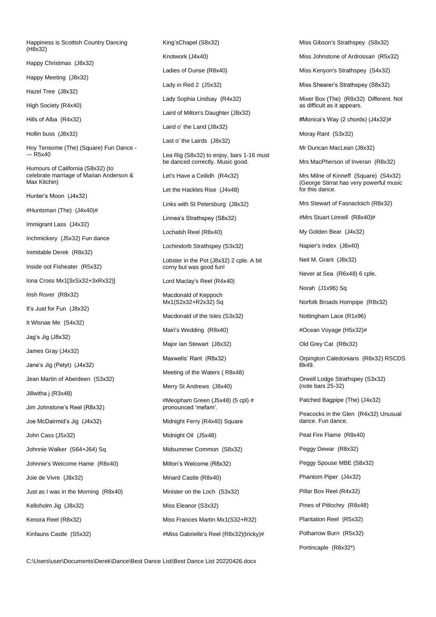Happiness is Scottish Country Dancing (H8x32)

Happy Christmas (J8x32)

Happy Meeting (J8x32)

Hazel Tree (J8x32)

High Society (R4x40)

Hills of Alba (R4x32)

Hollin buss (J8x32)

Hoy Tensome (The) (Square) Fun Dance - --- R5x40

Humours of California (S8x32) (to celebrate marriage of Marian Anderson & Max Kitchin)

Hunter's Moon (J4x32)

#Huntsman (The) (J4x40)#

Immigrant Lass (J4x32)

Inchmickery (J5x32) Fun dance

Inimitable Derek (R8x32)

Inside oot Fisheater (R5x32)

Iona Cross Mx1[3xSx32+3xRx32)]

Irish Rover (R8x32)

It's Just for Fun (J8x32)

It Wisnae Me (S4x32)

Jag's Jig (J8x32)

James Gray (J4x32)

Jane's Jig (Petyt) (J4x32)

Jean Martin of Aberdeen (S3x32)

Jillwitha j (R3x48)

Jim Johnstone's Reel (R8x32)

Joe McDairmid's Jig (J4x32)

John Cass (J5x32)

Johnnie Walker (S64+J64) Sq

Johnnie's Welcome Hame (R8x40) Joie de Vivre (J8x32)

Just as I was in the Morning (R8x40) Kelloholm Jig (J8x32)

Kenora Reel (R8x32)

Kinfauns Castle (S5x32)

King'sChapel (S8x32) Knotwork (J4x40) Ladies of Dunse (R8x40) Lady in Red 2 (J5x32) Lady Sophia Lindsay (R4x32) Laird of Milton's Daughter (J8x32) Laird o' the Land (J8x32) Last o' the Lairds (J8x32) Lea Rig (S8x32) to enjoy, bars 1-16 must be danced correctly. Music good. Let's Have a Ceilidh (R4x32) Let the Hackles Rise (J4x48) Links with St Petersburg (J8x32) Linnea's Strathspey (S8x32) Lochalsh Reel (R8x40) Lochindorb Strathspey (S3x32) Lobster in the Pot (J8x32) 2 cple. A bit corny but was good fun! Lord Maclay's Reel (R4x40) Macdonald of Keppoch Mx1(S2x32+R2x32) Sq Macdonald of the Isles (S3x32) Mairi's Wedding (R8x40) Major Ian Stewart (J8x32) Maxwells' Rant (R8x32) Meeting of the Waters ( R8x48) Merry St Andrews (J8x40) #Meopham Green (J5x48) (5 cpl) # pronounced 'mefam'. Midnight Ferry (R4x40) Square Midnight Oil (J5x48) Midsummer Common (S8x32) Milton's Welcome (R8x32) Minard Castle (R8x40) Minister on the Loch (S3x32) Miss Eleanor (S3x32)

Miss Frances Martin Mx1(S32+R32) #Miss Gabrielle's Reel (R8x32)(tricky)# Miss Gibson's Strathspey (S8x32)

Miss Johnstone of Ardrossan (R5x32)

Miss Kenyon's Strathspey (S4x32)

Miss Shearer's Strathspey (S8x32)

Mixer Box (The) (R8x32) Different. Not as difficult as it appears.

#Monica's Way (2 chords) (J4x32)#

Moray Rant (S3x32)

Mr Duncan MacLean (J8x32)

Mrs MacPherson of Inveran (R8x32)

Mrs Milne of Kinneff (Square) (S4x32) (George Stirrat has very powerful music for this dance.

Mrs Stewart of Fasnacloich (R8x32)

#Mrs Stuart Linnell (R8x40)#

My Golden Bear (J4x32)

Napier's Index (J8x40)

Neil M. Grant (J8x32)

Never at Sea (R6x48) 6 cple.

Norah (J1x96) Sq

Norfolk Broads Hornpipe (R8x32)

Nottingham Lace (R1x96)

#Ocean Voyage (H5x32)#

Old Grey Cat (R8x32)

Orpington Caledonians (R8x32) RSCDS Bk49.

Orwell Lodge Strathspey (S3x32) (note bars 25-32)

Patched Bagpipe (The) (J4x32)

Peacocks in the Glen (R4x32) Unusual dance. Fun dance.

Peat Fire Flame (R8x40)

Peggy Dewar (R8x32)

Peggy Spouse MBE (S8x32)

Phantom Piper (J4x32)

Pillar Box Reel (R4x32)

Pines of Pitlochry (R8x48)

Plantation Reel (R5x32)

Polharrow Burn (R5x32)

Portincaple (R8x32\*)

C:\Users\user\Documents\Derek\Dance\Best Dance List\Best Dance List 20220426.docx